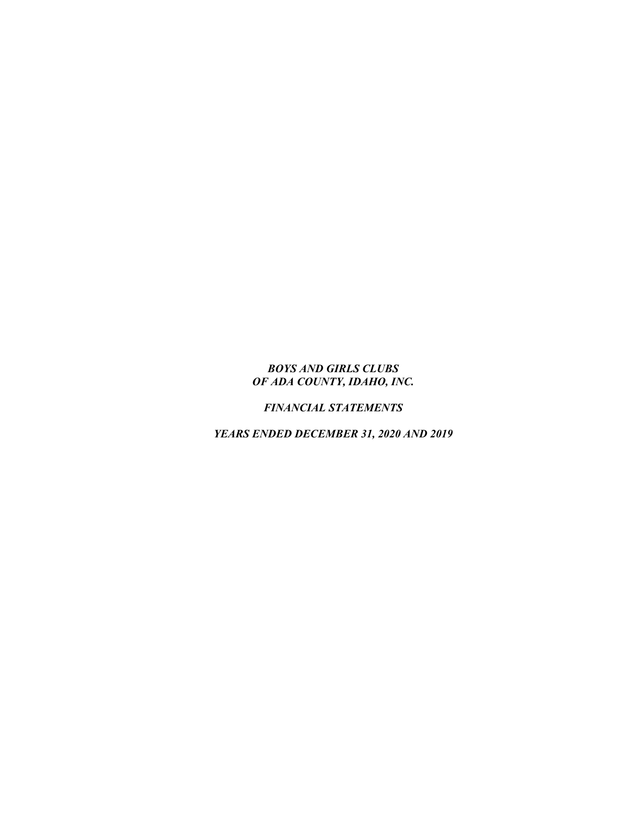# *FINANCIAL STATEMENTS*

*YEARS ENDED DECEMBER 31, 2020 AND 2019*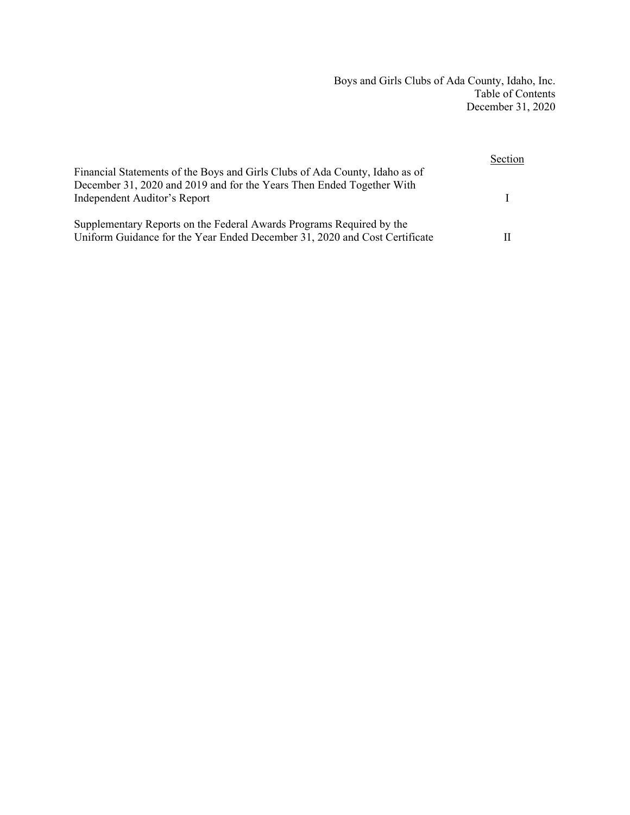Boys and Girls Clubs of Ada County, Idaho, Inc. Table of Contents December 31, 2020

|                                                                                                                                                      | <b>Section</b> |
|------------------------------------------------------------------------------------------------------------------------------------------------------|----------------|
| Financial Statements of the Boys and Girls Clubs of Ada County, Idaho as of<br>December 31, 2020 and 2019 and for the Years Then Ended Together With |                |
| Independent Auditor's Report                                                                                                                         |                |
| Supplementary Reports on the Federal Awards Programs Required by the                                                                                 |                |
| Uniform Guidance for the Year Ended December 31, 2020 and Cost Certificate                                                                           |                |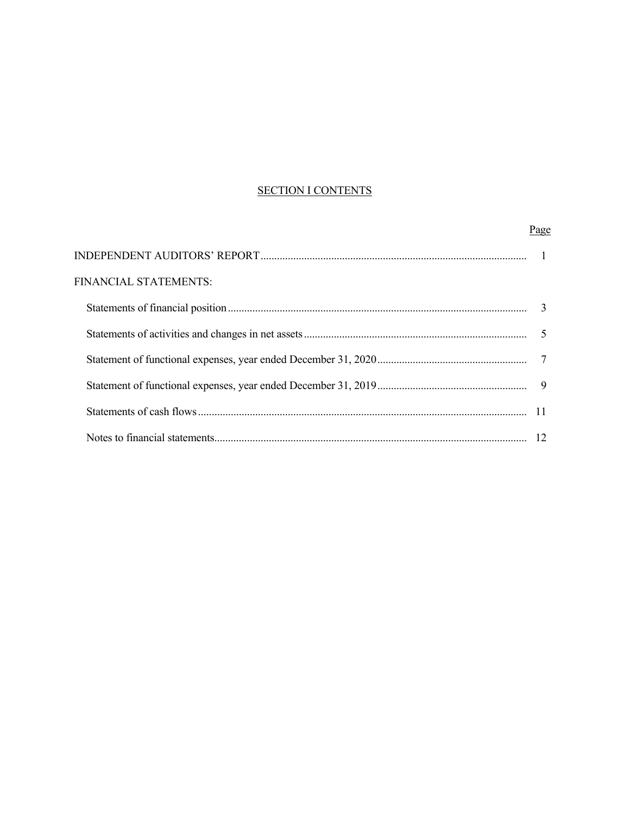# SECTION I CONTENTS

Page **Page** 

| FINANCIAL STATEMENTS: |  |
|-----------------------|--|
|                       |  |
|                       |  |
|                       |  |
|                       |  |
|                       |  |
|                       |  |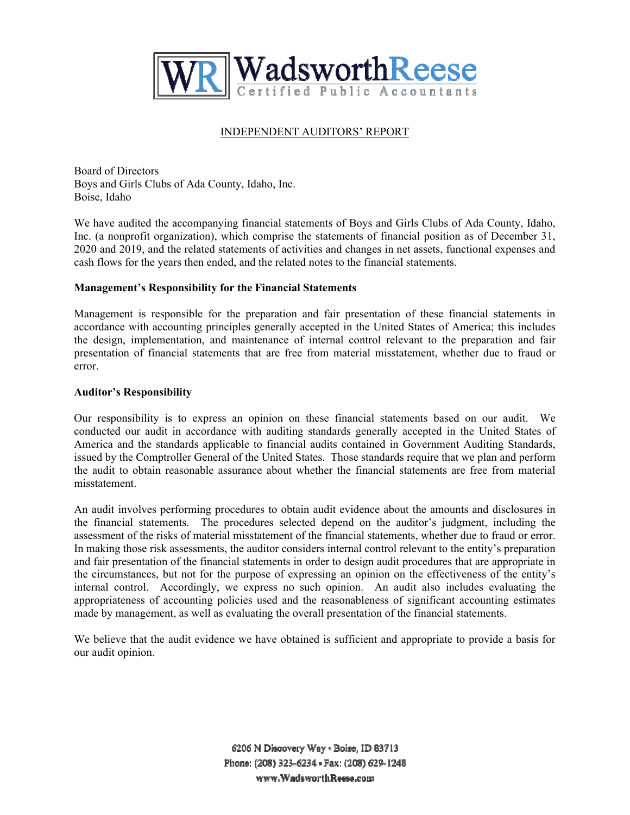

## INDEPENDENT AUDITORS' REPORT

Board of Directors Boys and Girls Clubs of Ada County, Idaho, Inc. Boise, Idaho

We have audited the accompanying financial statements of Boys and Girls Clubs of Ada County, Idaho, Inc. (a nonprofit organization), which comprise the statements of financial position as of December 31, 2020 and 2019, and the related statements of activities and changes in net assets, functional expenses and cash flows for the years then ended, and the related notes to the financial statements.

#### **Management's Responsibility for the Financial Statements**

Management is responsible for the preparation and fair presentation of these financial statements in accordance with accounting principles generally accepted in the United States of America; this includes the design, implementation, and maintenance of internal control relevant to the preparation and fair presentation of financial statements that are free from material misstatement, whether due to fraud or error.

#### **Auditor's Responsibility**

Our responsibility is to express an opinion on these financial statements based on our audit. We conducted our audit in accordance with auditing standards generally accepted in the United States of America and the standards applicable to financial audits contained in Government Auditing Standards, issued by the Comptroller General of the United States. Those standards require that we plan and perform the audit to obtain reasonable assurance about whether the financial statements are free from material misstatement.

An audit involves performing procedures to obtain audit evidence about the amounts and disclosures in the financial statements. The procedures selected depend on the auditor's judgment, including the assessment of the risks of material misstatement of the financial statements, whether due to fraud or error. In making those risk assessments, the auditor considers internal control relevant to the entity's preparation and fair presentation of the financial statements in order to design audit procedures that are appropriate in the circumstances, but not for the purpose of expressing an opinion on the effectiveness of the entity's internal control. Accordingly, we express no such opinion. An audit also includes evaluating the appropriateness of accounting policies used and the reasonableness of significant accounting estimates made by management, as well as evaluating the overall presentation of the financial statements.

We believe that the audit evidence we have obtained is sufficient and appropriate to provide a basis for our audit opinion.

> 6206 N Discovery Way - Boise, ID 83713 Phone: (208) 323-6234 · Fax: (208) 629-1248 www.WadsworthReese.com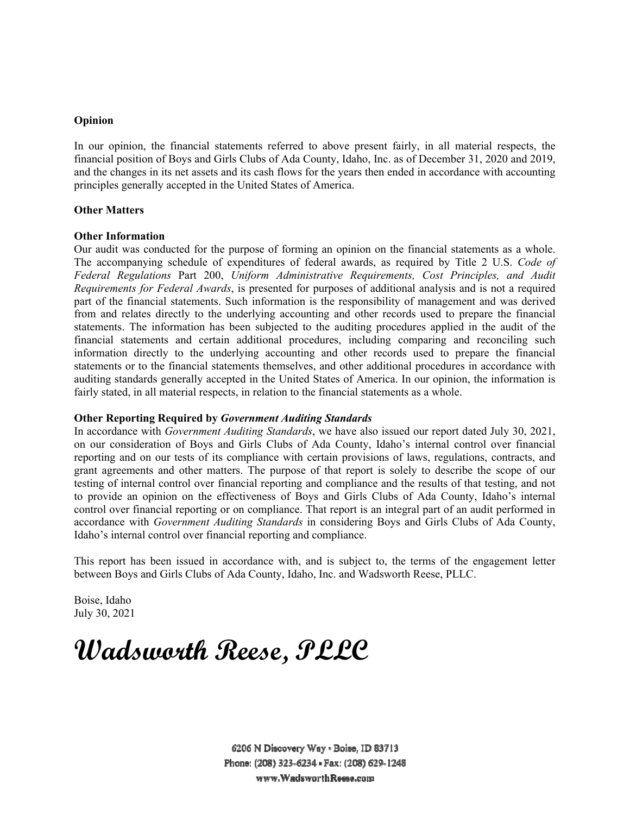#### **Opinion**

In our opinion, the financial statements referred to above present fairly, in all material respects, the financial position of Boys and Girls Clubs of Ada County, Idaho, Inc. as of December 31, 2020 and 2019, and the changes in its net assets and its cash flows for the years then ended in accordance with accounting principles generally accepted in the United States of America.

#### **Other Matters**

#### **Other Information**

Our audit was conducted for the purpose of forming an opinion on the financial statements as a whole. The accompanying schedule of expenditures of federal awards, as required by Title 2 U.S. *Code of Federal Regulations* Part 200, *Uniform Administrative Requirements, Cost Principles, and Audit Requirements for Federal Awards*, is presented for purposes of additional analysis and is not a required part of the financial statements. Such information is the responsibility of management and was derived from and relates directly to the underlying accounting and other records used to prepare the financial statements. The information has been subjected to the auditing procedures applied in the audit of the financial statements and certain additional procedures, including comparing and reconciling such information directly to the underlying accounting and other records used to prepare the financial statements or to the financial statements themselves, and other additional procedures in accordance with auditing standards generally accepted in the United States of America. In our opinion, the information is fairly stated, in all material respects, in relation to the financial statements as a whole.

## **Other Reporting Required by** *Government Auditing Standards*

In accordance with *Government Auditing Standards*, we have also issued our report dated July 30, 2021, on our consideration of Boys and Girls Clubs of Ada County, Idaho's internal control over financial reporting and on our tests of its compliance with certain provisions of laws, regulations, contracts, and grant agreements and other matters. The purpose of that report is solely to describe the scope of our testing of internal control over financial reporting and compliance and the results of that testing, and not to provide an opinion on the effectiveness of Boys and Girls Clubs of Ada County, Idaho's internal control over financial reporting or on compliance. That report is an integral part of an audit performed in accordance with *Government Auditing Standards* in considering Boys and Girls Clubs of Ada County, Idaho's internal control over financial reporting and compliance.

This report has been issued in accordance with, and is subject to, the terms of the engagement letter between Boys and Girls Clubs of Ada County, Idaho, Inc. and Wadsworth Reese, PLLC.

Boise, Idaho July 30, 2021

# **Wadsworth Reese, PLLC**

6206 N Discovery Way - Boise, ID 83713 Phone: (208) 323-6234 · Fax: (208) 629-1248 www.WadsworthReese.com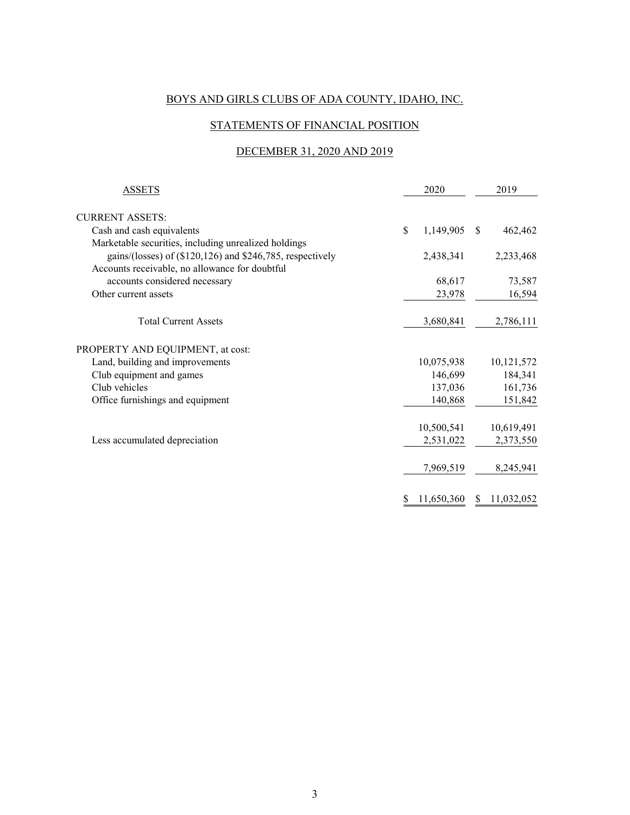# STATEMENTS OF FINANCIAL POSITION

# DECEMBER 31, 2020 AND 2019

| <b>ASSETS</b>                                             |    | 2020       |               | 2019       |
|-----------------------------------------------------------|----|------------|---------------|------------|
| <b>CURRENT ASSETS:</b>                                    |    |            |               |            |
| Cash and cash equivalents                                 | \$ | 1,149,905  | <sup>\$</sup> | 462,462    |
| Marketable securities, including unrealized holdings      |    |            |               |            |
| gains/(losses) of (\$120,126) and \$246,785, respectively |    | 2,438,341  |               | 2,233,468  |
| Accounts receivable, no allowance for doubtful            |    |            |               |            |
| accounts considered necessary                             |    | 68,617     |               | 73,587     |
| Other current assets                                      |    | 23,978     |               | 16,594     |
|                                                           |    |            |               |            |
| <b>Total Current Assets</b>                               |    | 3,680,841  |               | 2,786,111  |
| PROPERTY AND EQUIPMENT, at cost:                          |    |            |               |            |
| Land, building and improvements                           |    | 10,075,938 |               | 10,121,572 |
| Club equipment and games                                  |    | 146,699    |               | 184,341    |
| Club vehicles                                             |    | 137,036    |               | 161,736    |
| Office furnishings and equipment                          |    | 140,868    |               | 151,842    |
|                                                           |    |            |               |            |
|                                                           |    | 10,500,541 |               | 10,619,491 |
| Less accumulated depreciation                             |    | 2,531,022  |               | 2,373,550  |
|                                                           |    | 7,969,519  |               | 8,245,941  |
|                                                           | S  | 11,650,360 | <sup>S</sup>  | 11,032,052 |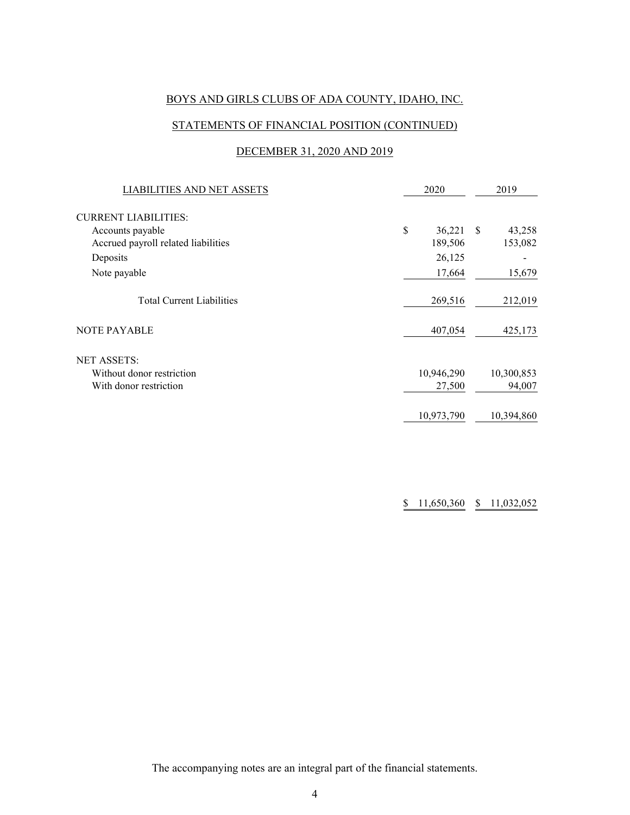# STATEMENTS OF FINANCIAL POSITION (CONTINUED)

# DECEMBER 31, 2020 AND 2019

| LIABILITIES AND NET ASSETS          | 2020         | 2019           |  |
|-------------------------------------|--------------|----------------|--|
| <b>CURRENT LIABILITIES:</b>         |              |                |  |
| Accounts payable                    | \$<br>36,221 | 43,258<br>- \$ |  |
| Accrued payroll related liabilities | 189,506      | 153,082        |  |
| Deposits                            | 26,125       |                |  |
| Note payable                        | 17,664       | 15,679         |  |
| <b>Total Current Liabilities</b>    | 269,516      | 212,019        |  |
| NOTE PAYABLE                        | 407,054      | 425,173        |  |
| <b>NET ASSETS:</b>                  |              |                |  |
| Without donor restriction           | 10,946,290   | 10,300,853     |  |
| With donor restriction              | 27,500       | 94,007         |  |
|                                     | 10,973,790   | 10,394,860     |  |
|                                     |              |                |  |

\$ 11,032,052 11,650,360 \$

The accompanying notes are an integral part of the financial statements.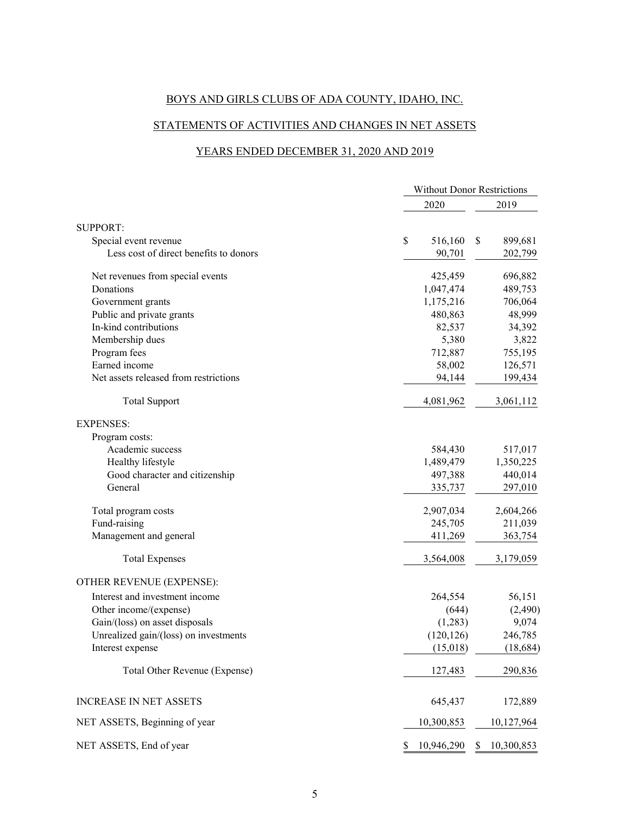# STATEMENTS OF ACTIVITIES AND CHANGES IN NET ASSETS

# YEARS ENDED DECEMBER 31, 2020 AND 2019

|                                        | <b>Without Donor Restrictions</b> |                  |  |  |
|----------------------------------------|-----------------------------------|------------------|--|--|
|                                        | 2020                              | 2019             |  |  |
| <b>SUPPORT:</b>                        |                                   |                  |  |  |
| Special event revenue                  | \$<br>516,160                     | \$<br>899,681    |  |  |
| Less cost of direct benefits to donors | 90,701                            | 202,799          |  |  |
| Net revenues from special events       | 425,459                           | 696,882          |  |  |
| Donations                              | 1,047,474                         | 489,753          |  |  |
| Government grants                      | 1,175,216                         | 706,064          |  |  |
| Public and private grants              | 480,863                           | 48,999           |  |  |
| In-kind contributions                  | 82,537                            | 34,392           |  |  |
| Membership dues                        | 5,380                             | 3,822            |  |  |
| Program fees                           | 712,887                           | 755,195          |  |  |
| Earned income                          | 58,002                            | 126,571          |  |  |
| Net assets released from restrictions  | 94,144                            | 199,434          |  |  |
| <b>Total Support</b>                   | 4,081,962                         | 3,061,112        |  |  |
| <b>EXPENSES:</b>                       |                                   |                  |  |  |
| Program costs:                         |                                   |                  |  |  |
| Academic success                       | 584,430                           | 517,017          |  |  |
| Healthy lifestyle                      | 1,489,479                         | 1,350,225        |  |  |
| Good character and citizenship         | 497,388                           | 440,014          |  |  |
| General                                | 335,737                           | 297,010          |  |  |
| Total program costs                    | 2,907,034                         | 2,604,266        |  |  |
| Fund-raising                           | 245,705                           | 211,039          |  |  |
| Management and general                 | 411,269                           | 363,754          |  |  |
| <b>Total Expenses</b>                  | 3,564,008                         | 3,179,059        |  |  |
| OTHER REVENUE (EXPENSE):               |                                   |                  |  |  |
| Interest and investment income         | 264,554                           | 56,151           |  |  |
| Other income/(expense)                 | (644)                             | (2,490)          |  |  |
| Gain/(loss) on asset disposals         | (1,283)                           | 9,074            |  |  |
| Unrealized gain/(loss) on investments  | (120, 126)                        | 246,785          |  |  |
| Interest expense                       | (15,018)                          | (18, 684)        |  |  |
| Total Other Revenue (Expense)          | 127,483                           | 290,836          |  |  |
| INCREASE IN NET ASSETS                 | 645,437                           | 172,889          |  |  |
| NET ASSETS, Beginning of year          | 10,300,853                        | 10,127,964       |  |  |
| NET ASSETS, End of year                | 10,946,290<br>S                   | \$<br>10,300,853 |  |  |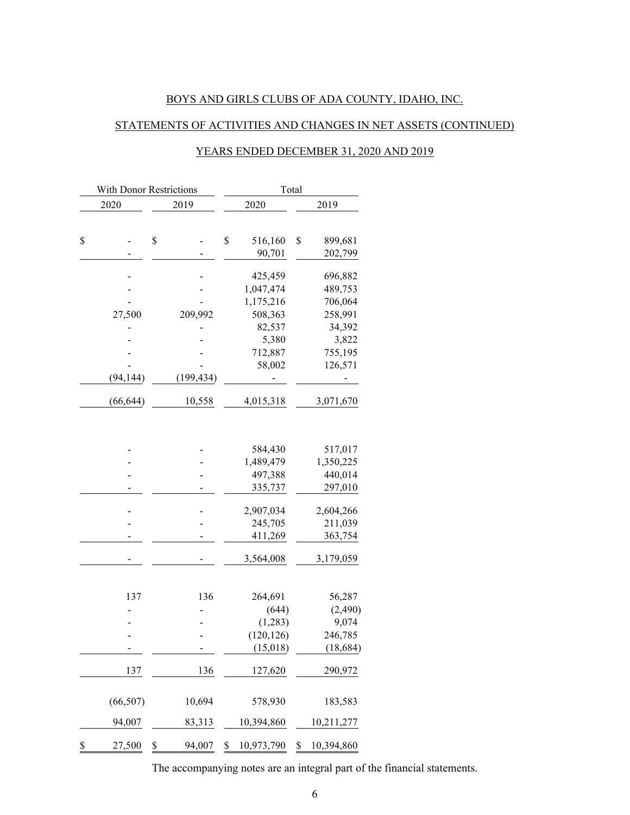# STATEMENTS OF ACTIVITIES AND CHANGES IN NET ASSETS (CONTINUED)

| With Donor Restrictions |    | Total      |      |                      |    |            |  |  |
|-------------------------|----|------------|------|----------------------|----|------------|--|--|
| 2020                    |    | 2019       | 2020 |                      |    | 2019       |  |  |
|                         |    |            |      |                      |    |            |  |  |
| \$                      | \$ |            | \$   | 516,160              | \$ | 899,681    |  |  |
|                         |    |            |      | 90,701               |    | 202,799    |  |  |
|                         |    |            |      | 425,459              |    | 696,882    |  |  |
|                         |    |            |      | 1,047,474            |    | 489,753    |  |  |
|                         |    |            |      | 1,175,216            |    | 706,064    |  |  |
| 27,500                  |    | 209,992    |      | 508,363              |    | 258,991    |  |  |
|                         |    |            |      | 82,537               |    | 34,392     |  |  |
|                         |    |            |      | 5,380                |    | 3,822      |  |  |
|                         |    |            |      | 712,887              |    | 755,195    |  |  |
|                         |    |            |      | 58,002               |    | 126,571    |  |  |
| (94, 144)               |    | (199, 434) |      |                      |    |            |  |  |
| (66, 644)               |    | 10,558     |      | 4,015,318            |    | 3,071,670  |  |  |
|                         |    |            |      |                      |    |            |  |  |
|                         |    |            |      | 584,430              |    | 517,017    |  |  |
|                         |    |            |      | 1,489,479            |    | 1,350,225  |  |  |
|                         |    |            |      | 497,388              |    | 440,014    |  |  |
|                         |    |            |      | 335,737              |    | 297,010    |  |  |
|                         |    |            |      | 2,907,034            |    | 2,604,266  |  |  |
|                         |    |            |      | 245,705              |    | 211,039    |  |  |
|                         |    |            |      | 411,269              |    | 363,754    |  |  |
|                         |    |            |      | 3,564,008            |    | 3,179,059  |  |  |
|                         |    |            |      |                      |    |            |  |  |
| 137                     |    | 136        |      | 264,691              |    | 56,287     |  |  |
|                         |    |            |      | (644)                |    | (2, 490)   |  |  |
|                         |    |            |      | (1,283)              |    | 9,074      |  |  |
|                         |    |            |      | (120, 126)           |    | 246,785    |  |  |
|                         |    |            |      | $(\frac{15,018}{2})$ |    | (18, 684)  |  |  |
| 137                     |    | 136        |      | 127,620              |    | 290,972    |  |  |
| (66, 507)               |    | 10,694     |      | 578,930              |    | 183,583    |  |  |
| 94,007                  |    | 83,313     |      | 10,394,860           |    | 10,211,277 |  |  |
| \$<br>27,500            | \$ | 94,007     | \$   | 10,973,790           | \$ | 10,394,860 |  |  |

# YEARS ENDED DECEMBER 31, 2020 AND 2019

The accompanying notes are an integral part of the financial statements.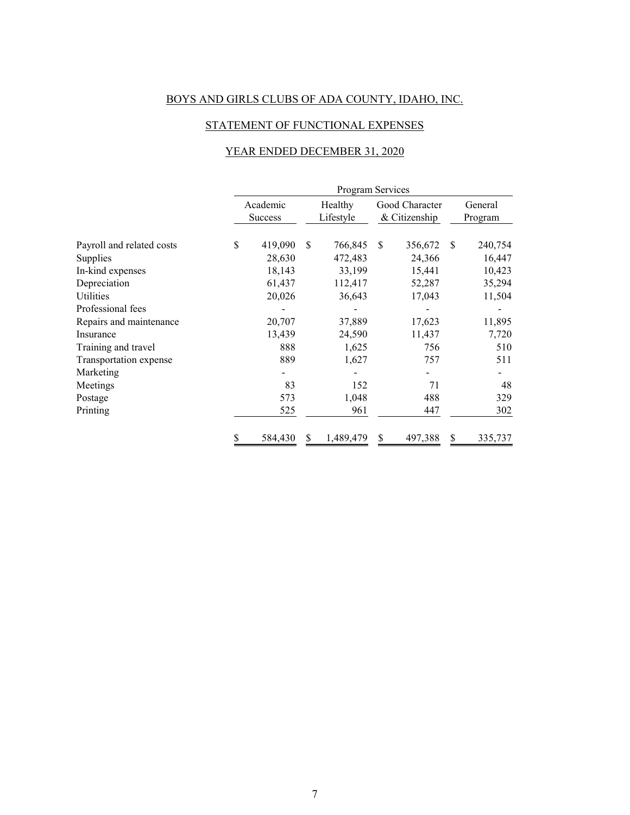# STATEMENT OF FUNCTIONAL EXPENSES

# YEAR ENDED DECEMBER 31, 2020

|                           | Program Services |                            |     |                      |    |                                 |                    |
|---------------------------|------------------|----------------------------|-----|----------------------|----|---------------------------------|--------------------|
|                           |                  | Academic<br><b>Success</b> |     | Healthy<br>Lifestyle |    | Good Character<br>& Citizenship | General<br>Program |
| Payroll and related costs | \$               | 419,090                    | \$. | 766,845              | S  | 356,672                         | \$<br>240,754      |
| Supplies                  |                  | 28,630                     |     | 472,483              |    | 24,366                          | 16,447             |
| In-kind expenses          |                  | 18,143                     |     | 33,199               |    | 15,441                          | 10,423             |
| Depreciation              |                  | 61,437                     |     | 112,417              |    | 52,287                          | 35,294             |
| Utilities                 |                  | 20,026                     |     | 36,643               |    | 17,043                          | 11,504             |
| Professional fees         |                  |                            |     |                      |    |                                 |                    |
| Repairs and maintenance   |                  | 20,707                     |     | 37,889               |    | 17,623                          | 11,895             |
| Insurance                 |                  | 13,439                     |     | 24,590               |    | 11,437                          | 7,720              |
| Training and travel       |                  | 888                        |     | 1,625                |    | 756                             | 510                |
| Transportation expense    |                  | 889                        |     | 1,627                |    | 757                             | 511                |
| Marketing                 |                  |                            |     |                      |    |                                 |                    |
| Meetings                  |                  | 83                         |     | 152                  |    | 71                              | 48                 |
| Postage                   |                  | 573                        |     | 1,048                |    | 488                             | 329                |
| Printing                  |                  | 525                        |     | 961                  |    | 447                             | 302                |
|                           |                  | 584,430                    | S   | 1,489,479            | \$ | 497,388                         | \$<br>335,737      |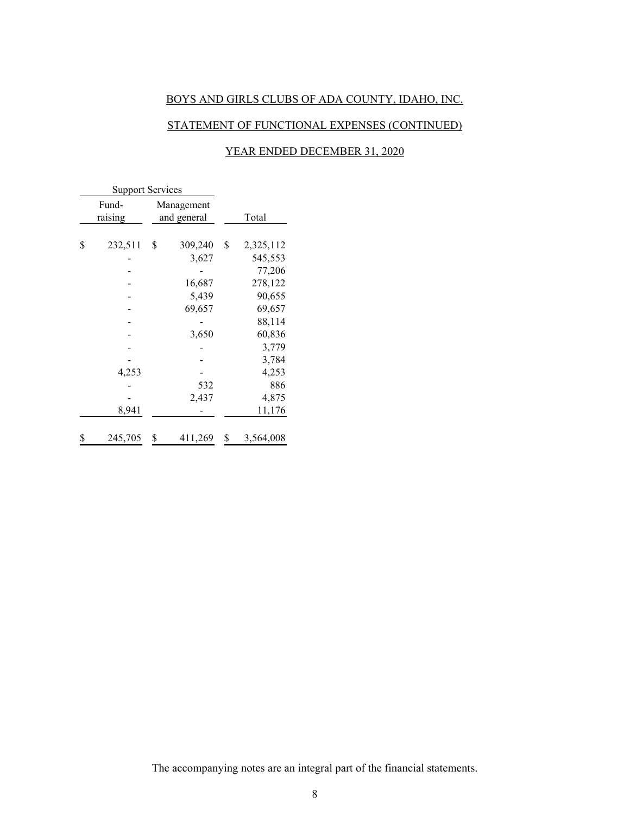# STATEMENT OF FUNCTIONAL EXPENSES (CONTINUED)

# YEAR ENDED DECEMBER 31, 2020

| <b>Support Services</b> |                                                              |                                                                                         |
|-------------------------|--------------------------------------------------------------|-----------------------------------------------------------------------------------------|
| Fund-<br>raising        | Management<br>and general                                    | Total                                                                                   |
| \$<br>232,511           | \$<br>309,240<br>3,627<br>16,687<br>5,439<br>69,657<br>3,650 | \$<br>2,325,112<br>545,553<br>77,206<br>278,122<br>90,655<br>69,657<br>88,114<br>60,836 |
| 4,253<br>8,941          | 532<br>2,437                                                 | 3,779<br>3,784<br>4,253<br>886<br>4,875<br>11,176                                       |
| \$<br>245,705           | \$<br>411,269                                                | \$<br>3,564,008                                                                         |

The accompanying notes are an integral part of the financial statements.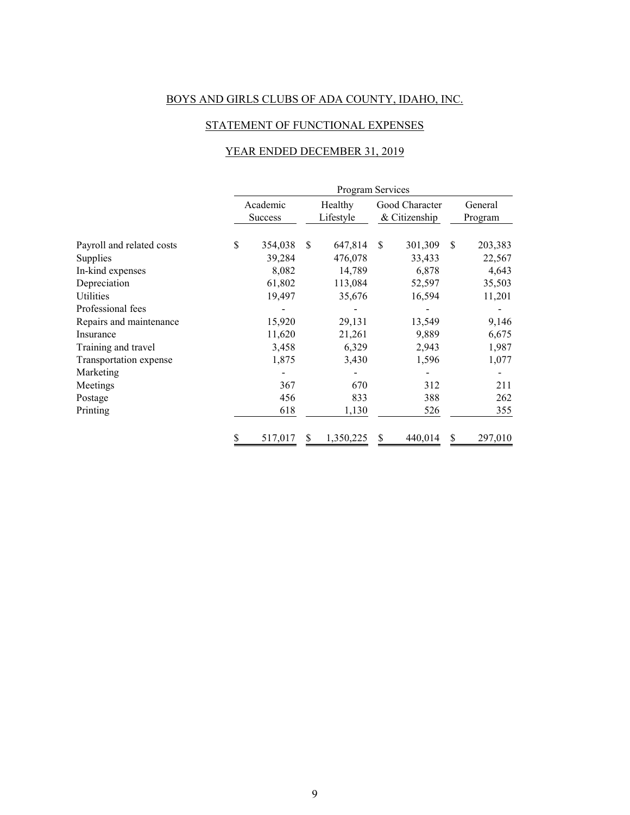# STATEMENT OF FUNCTIONAL EXPENSES

# YEAR ENDED DECEMBER 31, 2019

|                           | Program Services |                            |    |                      |    |                                 |               |                    |
|---------------------------|------------------|----------------------------|----|----------------------|----|---------------------------------|---------------|--------------------|
|                           |                  | Academic<br><b>Success</b> |    | Healthy<br>Lifestyle |    | Good Character<br>& Citizenship |               | General<br>Program |
| Payroll and related costs | \$               | 354,038                    | \$ | 647,814              | \$ | 301,309                         | <sup>\$</sup> | 203,383            |
| Supplies                  |                  | 39,284                     |    | 476,078              |    | 33,433                          |               | 22,567             |
| In-kind expenses          |                  | 8,082                      |    | 14,789               |    | 6,878                           |               | 4,643              |
| Depreciation              |                  | 61,802                     |    | 113,084              |    | 52,597                          |               | 35,503             |
| Utilities                 |                  | 19,497                     |    | 35,676               |    | 16,594                          |               | 11,201             |
| Professional fees         |                  |                            |    |                      |    |                                 |               |                    |
| Repairs and maintenance   |                  | 15,920                     |    | 29,131               |    | 13,549                          |               | 9,146              |
| Insurance                 |                  | 11,620                     |    | 21,261               |    | 9,889                           |               | 6,675              |
| Training and travel       |                  | 3,458                      |    | 6,329                |    | 2,943                           |               | 1,987              |
| Transportation expense    |                  | 1,875                      |    | 3,430                |    | 1,596                           |               | 1,077              |
| Marketing                 |                  |                            |    |                      |    |                                 |               |                    |
| Meetings                  |                  | 367                        |    | 670                  |    | 312                             |               | 211                |
| Postage                   |                  | 456                        |    | 833                  |    | 388                             |               | 262                |
| Printing                  |                  | 618                        |    | 1,130                |    | 526                             |               | 355                |
|                           | S                | 517,017                    | S. | 1,350,225            | \$ | 440,014                         | \$            | 297,010            |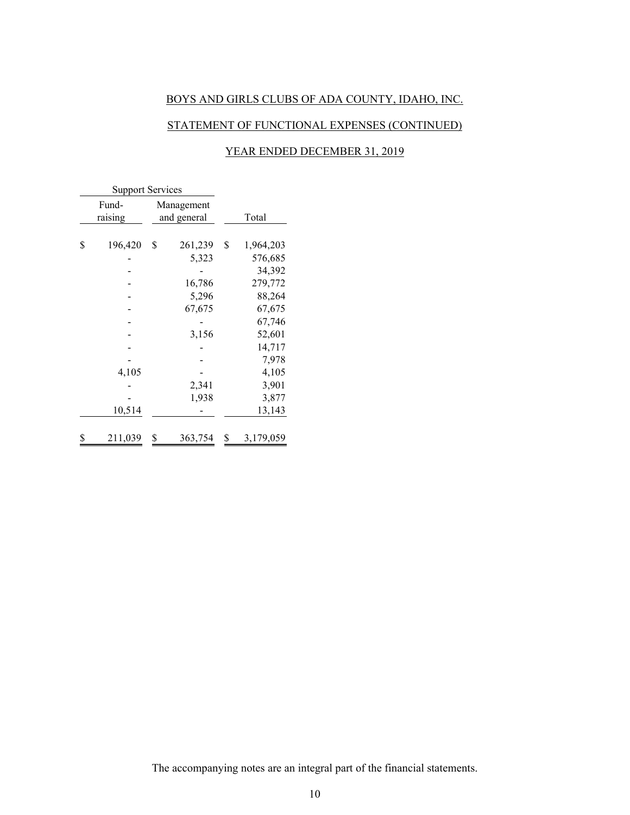# STATEMENT OF FUNCTIONAL EXPENSES (CONTINUED)

# YEAR ENDED DECEMBER 31, 2019

| <b>Support Services</b> |                           |                                                                 |                                                                                                                              |
|-------------------------|---------------------------|-----------------------------------------------------------------|------------------------------------------------------------------------------------------------------------------------------|
| Fund-<br>raising        | Management<br>and general |                                                                 | Total                                                                                                                        |
| \$<br>196,420<br>4,105  | \$                        | 261,239<br>5,323<br>16,786<br>5,296<br>67,675<br>3,156<br>2,341 | \$<br>1,964,203<br>576,685<br>34,392<br>279,772<br>88,264<br>67,675<br>67,746<br>52,601<br>14,717<br>7,978<br>4,105<br>3,901 |
| 10,514                  | 1,938                     |                                                                 | 3,877<br>13,143                                                                                                              |
| \$<br>211,039           | \$                        | 363,754                                                         | \$<br>3,179,059                                                                                                              |

The accompanying notes are an integral part of the financial statements.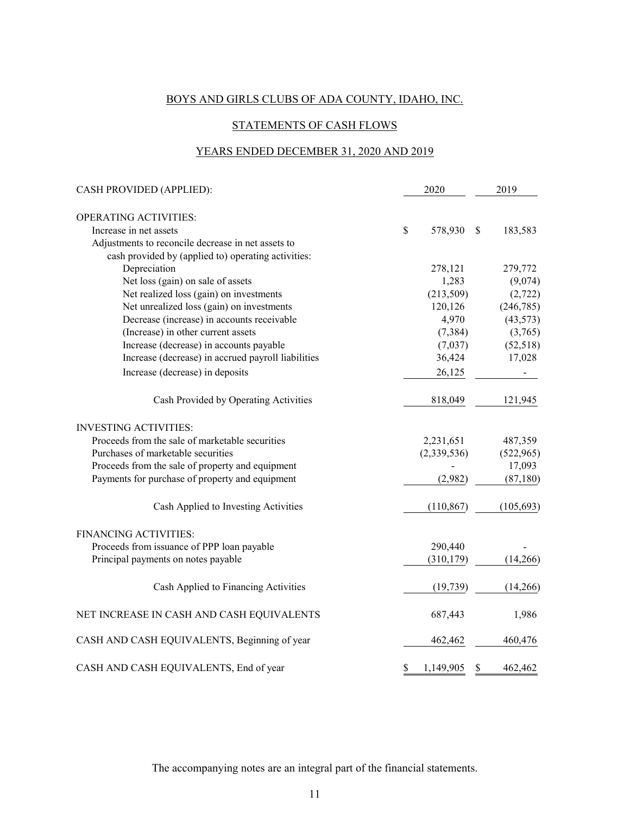## STATEMENTS OF CASH FLOWS

# YEARS ENDED DECEMBER 31, 2020 AND 2019

| CASH PROVIDED (APPLIED):                            | 2020            | 2019          |  |
|-----------------------------------------------------|-----------------|---------------|--|
| OPERATING ACTIVITIES:                               |                 |               |  |
| Increase in net assets                              | \$<br>578,930   | 183,583<br>\$ |  |
| Adjustments to reconcile decrease in net assets to  |                 |               |  |
| cash provided by (applied to) operating activities: |                 |               |  |
| Depreciation                                        | 278,121         | 279,772       |  |
| Net loss (gain) on sale of assets                   | 1,283           | (9,074)       |  |
| Net realized loss (gain) on investments             | (213, 509)      | (2,722)       |  |
| Net unrealized loss (gain) on investments           | 120,126         | (246, 785)    |  |
| Decrease (increase) in accounts receivable          | 4,970           | (43, 573)     |  |
| (Increase) in other current assets                  | (7, 384)        | (3,765)       |  |
| Increase (decrease) in accounts payable             | (7,037)         | (52, 518)     |  |
| Increase (decrease) in accrued payroll liabilities  | 36,424          | 17,028        |  |
| Increase (decrease) in deposits                     | 26,125          |               |  |
| Cash Provided by Operating Activities               | 818,049         | 121,945       |  |
| <b>INVESTING ACTIVITIES:</b>                        |                 |               |  |
| Proceeds from the sale of marketable securities     | 2,231,651       | 487,359       |  |
| Purchases of marketable securities                  | (2,339,536)     | (522, 965)    |  |
| Proceeds from the sale of property and equipment    |                 | 17,093        |  |
| Payments for purchase of property and equipment     | (2,982)         | (87, 180)     |  |
| Cash Applied to Investing Activities                | (110, 867)      | (105, 693)    |  |
| FINANCING ACTIVITIES:                               |                 |               |  |
| Proceeds from issuance of PPP loan payable          | 290,440         |               |  |
| Principal payments on notes payable                 | (310, 179)      | (14,266)      |  |
| Cash Applied to Financing Activities                | (19, 739)       | (14,266)      |  |
| NET INCREASE IN CASH AND CASH EQUIVALENTS           | 687,443         | 1,986         |  |
| CASH AND CASH EQUIVALENTS, Beginning of year        | 462,462         | 460,476       |  |
| CASH AND CASH EQUIVALENTS, End of year              | \$<br>1,149,905 | \$<br>462,462 |  |

The accompanying notes are an integral part of the financial statements.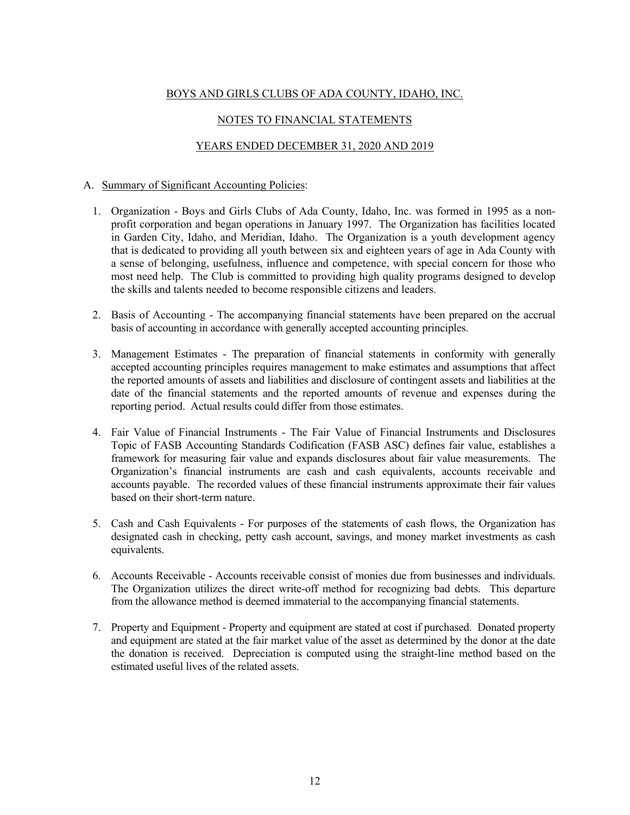## NOTES TO FINANCIAL STATEMENTS

## YEARS ENDED DECEMBER 31, 2020 AND 2019

#### A. Summary of Significant Accounting Policies:

- 1. Organization Boys and Girls Clubs of Ada County, Idaho, Inc. was formed in 1995 as a nonprofit corporation and began operations in January 1997. The Organization has facilities located in Garden City, Idaho, and Meridian, Idaho. The Organization is a youth development agency that is dedicated to providing all youth between six and eighteen years of age in Ada County with a sense of belonging, usefulness, influence and competence, with special concern for those who most need help. The Club is committed to providing high quality programs designed to develop the skills and talents needed to become responsible citizens and leaders.
- 2. Basis of Accounting The accompanying financial statements have been prepared on the accrual basis of accounting in accordance with generally accepted accounting principles.
- 3. Management Estimates The preparation of financial statements in conformity with generally accepted accounting principles requires management to make estimates and assumptions that affect the reported amounts of assets and liabilities and disclosure of contingent assets and liabilities at the date of the financial statements and the reported amounts of revenue and expenses during the reporting period. Actual results could differ from those estimates.
- 4. Fair Value of Financial Instruments The Fair Value of Financial Instruments and Disclosures Topic of FASB Accounting Standards Codification (FASB ASC) defines fair value, establishes a framework for measuring fair value and expands disclosures about fair value measurements. The Organization's financial instruments are cash and cash equivalents, accounts receivable and accounts payable. The recorded values of these financial instruments approximate their fair values based on their short-term nature.
- 5. Cash and Cash Equivalents For purposes of the statements of cash flows, the Organization has designated cash in checking, petty cash account, savings, and money market investments as cash equivalents.
- 6. Accounts Receivable Accounts receivable consist of monies due from businesses and individuals. The Organization utilizes the direct write-off method for recognizing bad debts. This departure from the allowance method is deemed immaterial to the accompanying financial statements.
- 7. Property and Equipment Property and equipment are stated at cost if purchased. Donated property and equipment are stated at the fair market value of the asset as determined by the donor at the date the donation is received. Depreciation is computed using the straight-line method based on the estimated useful lives of the related assets.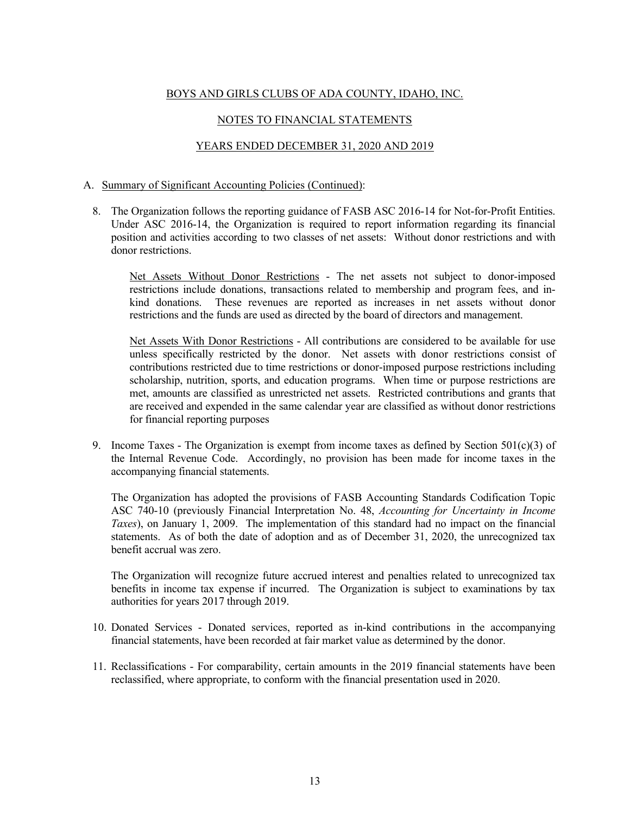## NOTES TO FINANCIAL STATEMENTS

## YEARS ENDED DECEMBER 31, 2020 AND 2019

#### A. Summary of Significant Accounting Policies (Continued):

8. The Organization follows the reporting guidance of FASB ASC 2016-14 for Not-for-Profit Entities. Under ASC 2016-14, the Organization is required to report information regarding its financial position and activities according to two classes of net assets: Without donor restrictions and with donor restrictions.

Net Assets Without Donor Restrictions - The net assets not subject to donor-imposed restrictions include donations, transactions related to membership and program fees, and inkind donations. These revenues are reported as increases in net assets without donor restrictions and the funds are used as directed by the board of directors and management.

Net Assets With Donor Restrictions - All contributions are considered to be available for use unless specifically restricted by the donor. Net assets with donor restrictions consist of contributions restricted due to time restrictions or donor-imposed purpose restrictions including scholarship, nutrition, sports, and education programs. When time or purpose restrictions are met, amounts are classified as unrestricted net assets. Restricted contributions and grants that are received and expended in the same calendar year are classified as without donor restrictions for financial reporting purposes

9. Income Taxes - The Organization is exempt from income taxes as defined by Section  $501(c)(3)$  of the Internal Revenue Code. Accordingly, no provision has been made for income taxes in the accompanying financial statements.

The Organization has adopted the provisions of FASB Accounting Standards Codification Topic ASC 740-10 (previously Financial Interpretation No. 48, *Accounting for Uncertainty in Income Taxes*), on January 1, 2009. The implementation of this standard had no impact on the financial statements. As of both the date of adoption and as of December 31, 2020, the unrecognized tax benefit accrual was zero.

The Organization will recognize future accrued interest and penalties related to unrecognized tax benefits in income tax expense if incurred. The Organization is subject to examinations by tax authorities for years 2017 through 2019.

- 10. Donated Services Donated services, reported as in-kind contributions in the accompanying financial statements, have been recorded at fair market value as determined by the donor.
- 11. Reclassifications For comparability, certain amounts in the 2019 financial statements have been reclassified, where appropriate, to conform with the financial presentation used in 2020.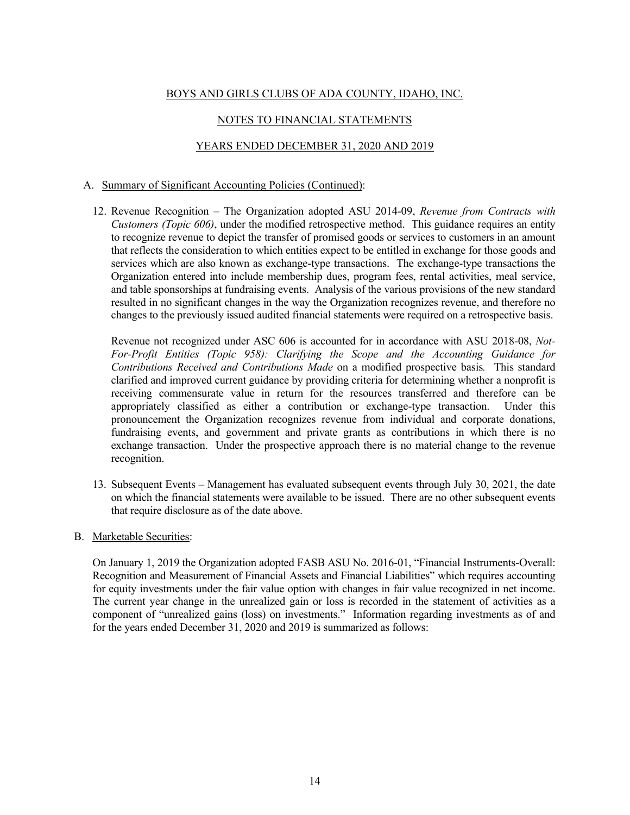## NOTES TO FINANCIAL STATEMENTS

## YEARS ENDED DECEMBER 31, 2020 AND 2019

#### A. Summary of Significant Accounting Policies (Continued):

12. Revenue Recognition – The Organization adopted ASU 2014-09, *Revenue from Contracts with Customers (Topic 606)*, under the modified retrospective method. This guidance requires an entity to recognize revenue to depict the transfer of promised goods or services to customers in an amount that reflects the consideration to which entities expect to be entitled in exchange for those goods and services which are also known as exchange-type transactions. The exchange-type transactions the Organization entered into include membership dues, program fees, rental activities, meal service, and table sponsorships at fundraising events. Analysis of the various provisions of the new standard resulted in no significant changes in the way the Organization recognizes revenue, and therefore no changes to the previously issued audited financial statements were required on a retrospective basis.

Revenue not recognized under ASC 606 is accounted for in accordance with ASU 2018-08, *Not-For-Profit Entities (Topic 958): Clarifying the Scope and the Accounting Guidance for Contributions Received and Contributions Made* on a modified prospective basis*.* This standard clarified and improved current guidance by providing criteria for determining whether a nonprofit is receiving commensurate value in return for the resources transferred and therefore can be appropriately classified as either a contribution or exchange-type transaction. Under this pronouncement the Organization recognizes revenue from individual and corporate donations, fundraising events, and government and private grants as contributions in which there is no exchange transaction. Under the prospective approach there is no material change to the revenue recognition.

- 13. Subsequent Events Management has evaluated subsequent events through July 30, 2021, the date on which the financial statements were available to be issued. There are no other subsequent events that require disclosure as of the date above.
- B. Marketable Securities:

On January 1, 2019 the Organization adopted FASB ASU No. 2016-01, "Financial Instruments-Overall: Recognition and Measurement of Financial Assets and Financial Liabilities" which requires accounting for equity investments under the fair value option with changes in fair value recognized in net income. The current year change in the unrealized gain or loss is recorded in the statement of activities as a component of "unrealized gains (loss) on investments." Information regarding investments as of and for the years ended December 31, 2020 and 2019 is summarized as follows: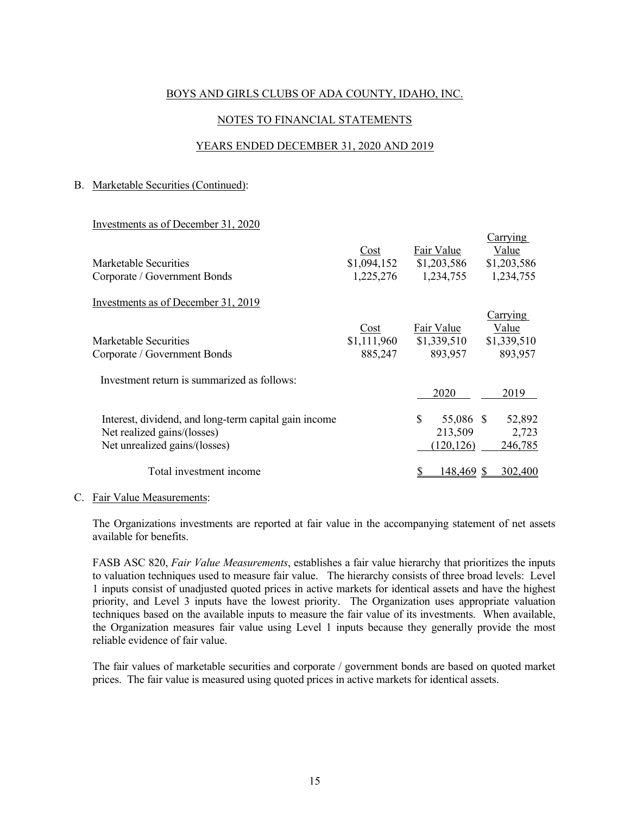## NOTES TO FINANCIAL STATEMENTS

## YEARS ENDED DECEMBER 31, 2020 AND 2019

#### B. Marketable Securities (Continued):

#### Investments as of December 31, 2020

| Marketable Securities<br>Corporate / Government Bonds | Cost<br>\$1,094,152<br>1,225,276 | Fair Value<br>\$1,203,586<br>1,234,755 | Carrying<br>Value<br>\$1,203,586<br>1,234,755 |
|-------------------------------------------------------|----------------------------------|----------------------------------------|-----------------------------------------------|
| Investments as of December 31, 2019                   |                                  |                                        |                                               |
|                                                       |                                  |                                        | Carrying                                      |
|                                                       | Cost                             | Fair Value                             | Value                                         |
| Marketable Securities                                 | \$1,111,960                      | \$1,339,510                            | \$1,339,510                                   |
| Corporate / Government Bonds                          | 885,247                          | 893,957                                | 893,957                                       |
| Investment return is summarized as follows:           |                                  | 2020                                   | 2019                                          |
| Interest, dividend, and long-term capital gain income |                                  | \$<br>55,086 \$                        | 52,892                                        |
| Net realized gains/(losses)                           |                                  | 213,509                                | 2,723                                         |
| Net unrealized gains/(losses)                         |                                  | (120, 126)                             | 246,785                                       |
| Total investment income                               |                                  | 148,469 \$                             | 302,400                                       |

#### C. Fair Value Measurements:

The Organizations investments are reported at fair value in the accompanying statement of net assets available for benefits.

FASB ASC 820, *Fair Value Measurements*, establishes a fair value hierarchy that prioritizes the inputs to valuation techniques used to measure fair value. The hierarchy consists of three broad levels: Level 1 inputs consist of unadjusted quoted prices in active markets for identical assets and have the highest priority, and Level 3 inputs have the lowest priority. The Organization uses appropriate valuation techniques based on the available inputs to measure the fair value of its investments. When available, the Organization measures fair value using Level 1 inputs because they generally provide the most reliable evidence of fair value.

The fair values of marketable securities and corporate / government bonds are based on quoted market prices. The fair value is measured using quoted prices in active markets for identical assets.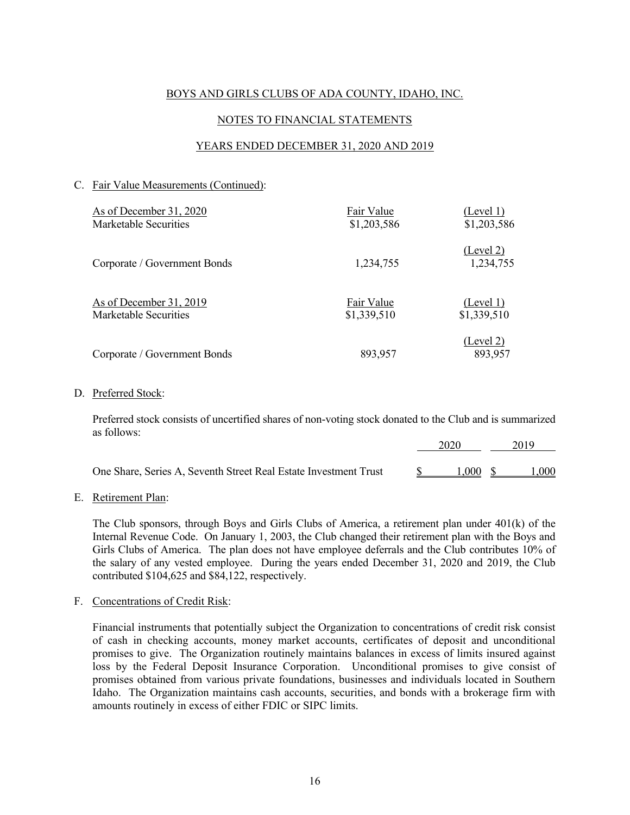## NOTES TO FINANCIAL STATEMENTS

## YEARS ENDED DECEMBER 31, 2020 AND 2019

#### C. Fair Value Measurements (Continued):

| As of December 31, 2020      | Fair Value  | (Level 1)              |
|------------------------------|-------------|------------------------|
| Marketable Securities        | \$1,203,586 | \$1,203,586            |
| Corporate / Government Bonds | 1,234,755   | (Level 2)<br>1,234,755 |
| As of December 31, 2019      | Fair Value  | (Level 1)              |
| Marketable Securities        | \$1,339,510 | \$1,339,510            |
| Corporate / Government Bonds | 893,957     | (Level 2)<br>893,957   |

#### D. Preferred Stock:

Preferred stock consists of uncertified shares of non-voting stock donated to the Club and is summarized as follows:

|                                                                  |              | 2020             | 2019  |
|------------------------------------------------------------------|--------------|------------------|-------|
| One Share, Series A, Seventh Street Real Estate Investment Trust | $\mathbb{S}$ | $1,000 \quad$ \$ | 1.000 |

#### E. Retirement Plan:

The Club sponsors, through Boys and Girls Clubs of America, a retirement plan under 401(k) of the Internal Revenue Code. On January 1, 2003, the Club changed their retirement plan with the Boys and Girls Clubs of America. The plan does not have employee deferrals and the Club contributes 10% of the salary of any vested employee. During the years ended December 31, 2020 and 2019, the Club contributed \$104,625 and \$84,122, respectively.

## F. Concentrations of Credit Risk:

Financial instruments that potentially subject the Organization to concentrations of credit risk consist of cash in checking accounts, money market accounts, certificates of deposit and unconditional promises to give. The Organization routinely maintains balances in excess of limits insured against loss by the Federal Deposit Insurance Corporation. Unconditional promises to give consist of promises obtained from various private foundations, businesses and individuals located in Southern Idaho. The Organization maintains cash accounts, securities, and bonds with a brokerage firm with amounts routinely in excess of either FDIC or SIPC limits.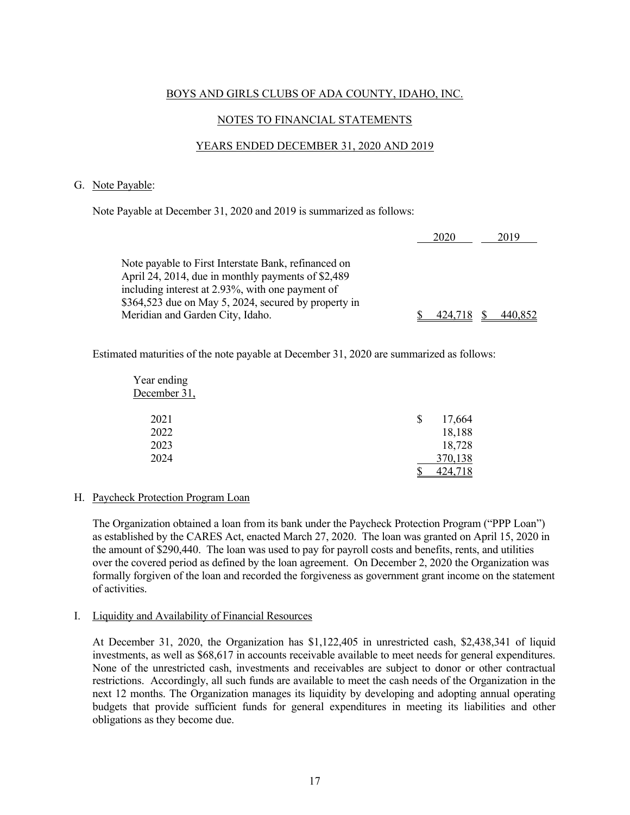## NOTES TO FINANCIAL STATEMENTS

#### YEARS ENDED DECEMBER 31, 2020 AND 2019

#### G. Note Payable:

Note Payable at December 31, 2020 and 2019 is summarized as follows:

|                                                      | 2020    | 2019    |
|------------------------------------------------------|---------|---------|
| Note payable to First Interstate Bank, refinanced on |         |         |
| April 24, 2014, due in monthly payments of \$2,489   |         |         |
| including interest at 2.93%, with one payment of     |         |         |
| \$364,523 due on May 5, 2024, secured by property in |         |         |
| Meridian and Garden City, Idaho.                     | 424.718 | 440,852 |

Estimated maturities of the note payable at December 31, 2020 are summarized as follows:

| Year ending  |              |
|--------------|--------------|
| December 31, |              |
| 2021         | \$<br>17,664 |
| 2022         | 18,188       |
| 2023         | 18,728       |
| 2024         | 370,138      |
|              | 424,718      |

#### H. Paycheck Protection Program Loan

The Organization obtained a loan from its bank under the Paycheck Protection Program ("PPP Loan") as established by the CARES Act, enacted March 27, 2020. The loan was granted on April 15, 2020 in the amount of \$290,440. The loan was used to pay for payroll costs and benefits, rents, and utilities over the covered period as defined by the loan agreement. On December 2, 2020 the Organization was formally forgiven of the loan and recorded the forgiveness as government grant income on the statement of activities.

#### I. Liquidity and Availability of Financial Resources

At December 31, 2020, the Organization has \$1,122,405 in unrestricted cash, \$2,438,341 of liquid investments, as well as \$68,617 in accounts receivable available to meet needs for general expenditures. None of the unrestricted cash, investments and receivables are subject to donor or other contractual restrictions. Accordingly, all such funds are available to meet the cash needs of the Organization in the next 12 months. The Organization manages its liquidity by developing and adopting annual operating budgets that provide sufficient funds for general expenditures in meeting its liabilities and other obligations as they become due.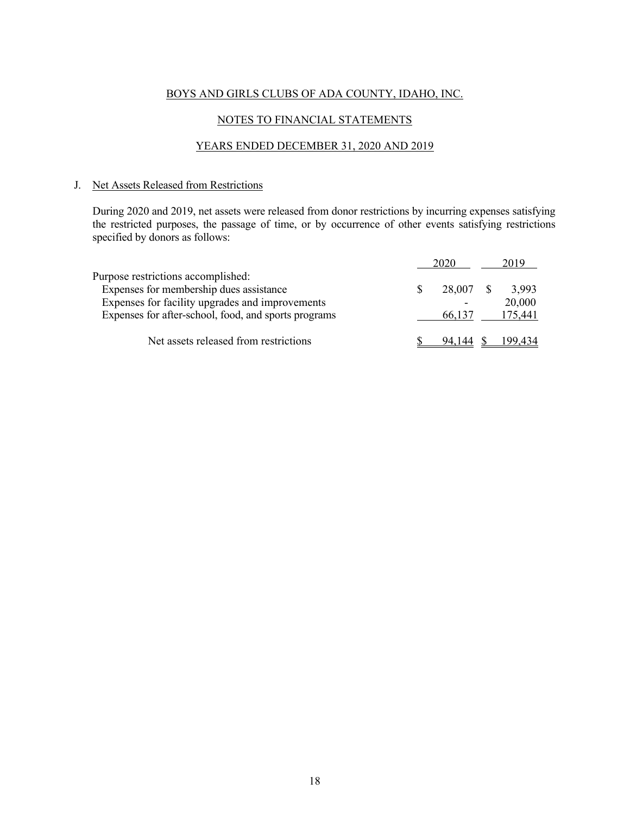#### NOTES TO FINANCIAL STATEMENTS

## YEARS ENDED DECEMBER 31, 2020 AND 2019

#### J. Net Assets Released from Restrictions

During 2020 and 2019, net assets were released from donor restrictions by incurring expenses satisfying the restricted purposes, the passage of time, or by occurrence of other events satisfying restrictions specified by donors as follows:

|                                                      |   | 2020      | 2019    |
|------------------------------------------------------|---|-----------|---------|
| Purpose restrictions accomplished:                   |   |           |         |
| Expenses for membership dues assistance              | S | 28,007 \$ | 3,993   |
| Expenses for facility upgrades and improvements      |   |           | 20,000  |
| Expenses for after-school, food, and sports programs |   | 66,137    | 175,441 |
| Net assets released from restrictions                |   | 94.144    | 199.434 |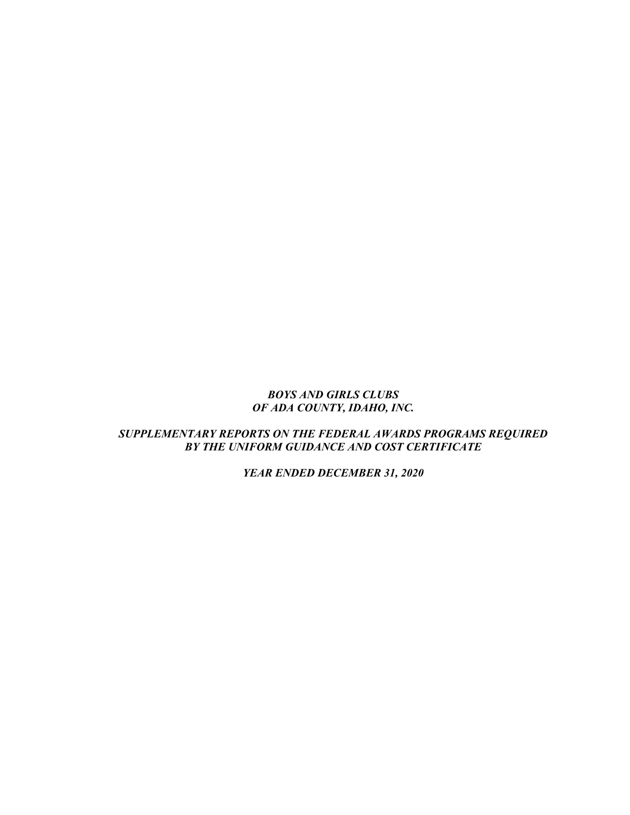# *SUPPLEMENTARY REPORTS ON THE FEDERAL AWARDS PROGRAMS REQUIRED BY THE UNIFORM GUIDANCE AND COST CERTIFICATE*

*YEAR ENDED DECEMBER 31, 2020*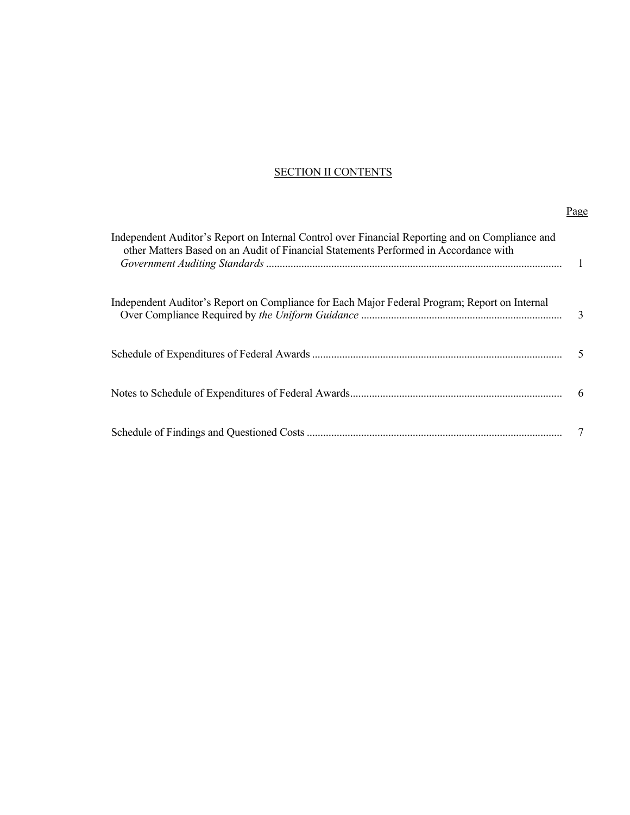# SECTION II CONTENTS

Page **Page** 

| Independent Auditor's Report on Internal Control over Financial Reporting and on Compliance and<br>other Matters Based on an Audit of Financial Statements Performed in Accordance with |  |
|-----------------------------------------------------------------------------------------------------------------------------------------------------------------------------------------|--|
| Independent Auditor's Report on Compliance for Each Major Federal Program; Report on Internal                                                                                           |  |
|                                                                                                                                                                                         |  |
|                                                                                                                                                                                         |  |
|                                                                                                                                                                                         |  |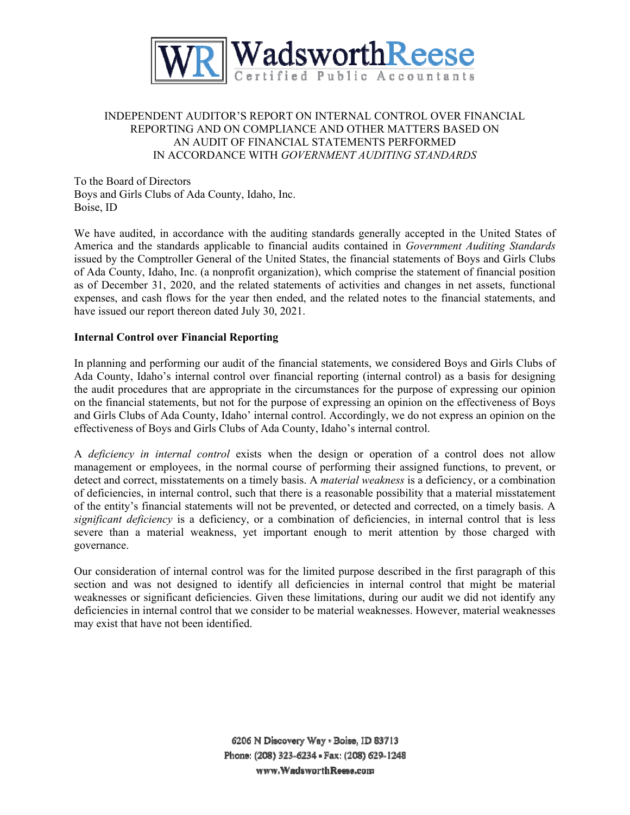

## INDEPENDENT AUDITOR'S REPORT ON INTERNAL CONTROL OVER FINANCIAL REPORTING AND ON COMPLIANCE AND OTHER MATTERS BASED ON AN AUDIT OF FINANCIAL STATEMENTS PERFORMED IN ACCORDANCE WITH *GOVERNMENT AUDITING STANDARDS*

To the Board of Directors Boys and Girls Clubs of Ada County, Idaho, Inc. Boise, ID

We have audited, in accordance with the auditing standards generally accepted in the United States of America and the standards applicable to financial audits contained in *Government Auditing Standards* issued by the Comptroller General of the United States, the financial statements of Boys and Girls Clubs of Ada County, Idaho, Inc. (a nonprofit organization), which comprise the statement of financial position as of December 31, 2020, and the related statements of activities and changes in net assets, functional expenses, and cash flows for the year then ended, and the related notes to the financial statements, and have issued our report thereon dated July 30, 2021.

## **Internal Control over Financial Reporting**

In planning and performing our audit of the financial statements, we considered Boys and Girls Clubs of Ada County, Idaho's internal control over financial reporting (internal control) as a basis for designing the audit procedures that are appropriate in the circumstances for the purpose of expressing our opinion on the financial statements, but not for the purpose of expressing an opinion on the effectiveness of Boys and Girls Clubs of Ada County, Idaho' internal control. Accordingly, we do not express an opinion on the effectiveness of Boys and Girls Clubs of Ada County, Idaho's internal control.

A *deficiency in internal control* exists when the design or operation of a control does not allow management or employees, in the normal course of performing their assigned functions, to prevent, or detect and correct, misstatements on a timely basis. A *material weakness* is a deficiency, or a combination of deficiencies, in internal control, such that there is a reasonable possibility that a material misstatement of the entity's financial statements will not be prevented, or detected and corrected, on a timely basis. A *significant deficiency* is a deficiency, or a combination of deficiencies, in internal control that is less severe than a material weakness, yet important enough to merit attention by those charged with governance.

Our consideration of internal control was for the limited purpose described in the first paragraph of this section and was not designed to identify all deficiencies in internal control that might be material weaknesses or significant deficiencies. Given these limitations, during our audit we did not identify any deficiencies in internal control that we consider to be material weaknesses. However, material weaknesses may exist that have not been identified.

> 6206 N Discovery Way - Boise, ID 83713 Phone: (208) 323-6234 - Fax: (208) 629-1248 www.WadsworthReese.com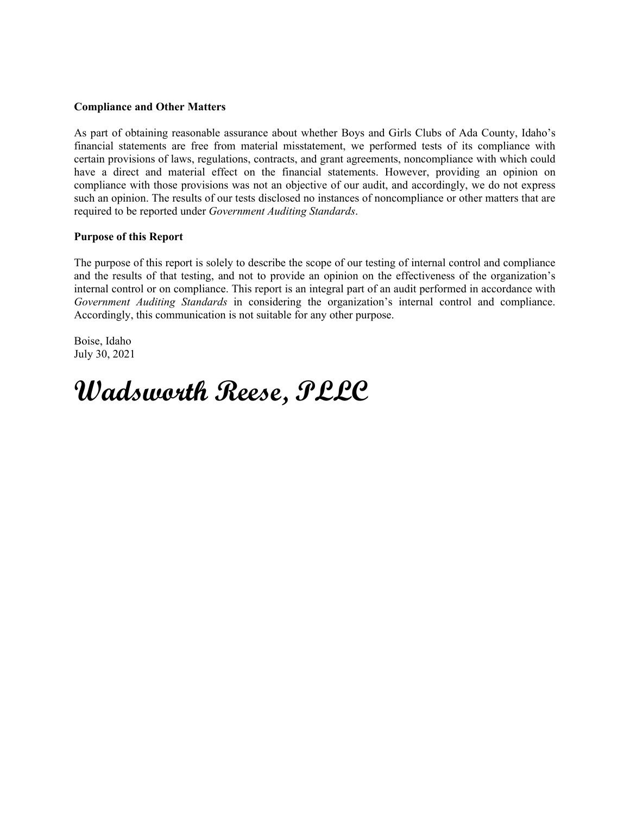#### **Compliance and Other Matters**

As part of obtaining reasonable assurance about whether Boys and Girls Clubs of Ada County, Idaho's financial statements are free from material misstatement, we performed tests of its compliance with certain provisions of laws, regulations, contracts, and grant agreements, noncompliance with which could have a direct and material effect on the financial statements. However, providing an opinion on compliance with those provisions was not an objective of our audit, and accordingly, we do not express such an opinion. The results of our tests disclosed no instances of noncompliance or other matters that are required to be reported under *Government Auditing Standards*.

## **Purpose of this Report**

The purpose of this report is solely to describe the scope of our testing of internal control and compliance and the results of that testing, and not to provide an opinion on the effectiveness of the organization's internal control or on compliance. This report is an integral part of an audit performed in accordance with *Government Auditing Standards* in considering the organization's internal control and compliance. Accordingly, this communication is not suitable for any other purpose.

Boise, Idaho July 30, 2021

# **Wadsworth Reese, PLLC**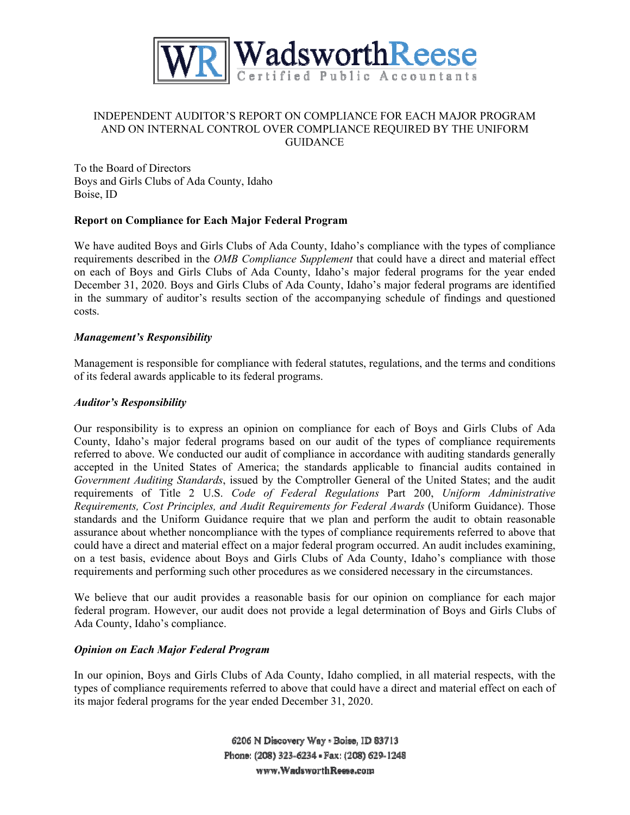

## INDEPENDENT AUDITOR'S REPORT ON COMPLIANCE FOR EACH MAJOR PROGRAM AND ON INTERNAL CONTROL OVER COMPLIANCE REQUIRED BY THE UNIFORM **GUIDANCE**

To the Board of Directors Boys and Girls Clubs of Ada County, Idaho Boise, ID

## **Report on Compliance for Each Major Federal Program**

We have audited Boys and Girls Clubs of Ada County, Idaho's compliance with the types of compliance requirements described in the *OMB Compliance Supplement* that could have a direct and material effect on each of Boys and Girls Clubs of Ada County, Idaho's major federal programs for the year ended December 31, 2020. Boys and Girls Clubs of Ada County, Idaho's major federal programs are identified in the summary of auditor's results section of the accompanying schedule of findings and questioned costs.

## *Management's Responsibility*

Management is responsible for compliance with federal statutes, regulations, and the terms and conditions of its federal awards applicable to its federal programs.

## *Auditor's Responsibility*

Our responsibility is to express an opinion on compliance for each of Boys and Girls Clubs of Ada County, Idaho's major federal programs based on our audit of the types of compliance requirements referred to above. We conducted our audit of compliance in accordance with auditing standards generally accepted in the United States of America; the standards applicable to financial audits contained in *Government Auditing Standards*, issued by the Comptroller General of the United States; and the audit requirements of Title 2 U.S. *Code of Federal Regulations* Part 200, *Uniform Administrative Requirements, Cost Principles, and Audit Requirements for Federal Awards* (Uniform Guidance). Those standards and the Uniform Guidance require that we plan and perform the audit to obtain reasonable assurance about whether noncompliance with the types of compliance requirements referred to above that could have a direct and material effect on a major federal program occurred. An audit includes examining, on a test basis, evidence about Boys and Girls Clubs of Ada County, Idaho's compliance with those requirements and performing such other procedures as we considered necessary in the circumstances.

We believe that our audit provides a reasonable basis for our opinion on compliance for each major federal program. However, our audit does not provide a legal determination of Boys and Girls Clubs of Ada County, Idaho's compliance.

## *Opinion on Each Major Federal Program*

In our opinion, Boys and Girls Clubs of Ada County, Idaho complied, in all material respects, with the types of compliance requirements referred to above that could have a direct and material effect on each of its major federal programs for the year ended December 31, 2020.

> 6206 N Discovery Way - Boise, ID 83713 Phone: (208) 323-6234 · Fax: (208) 629-1248 www.WadsworthReese.com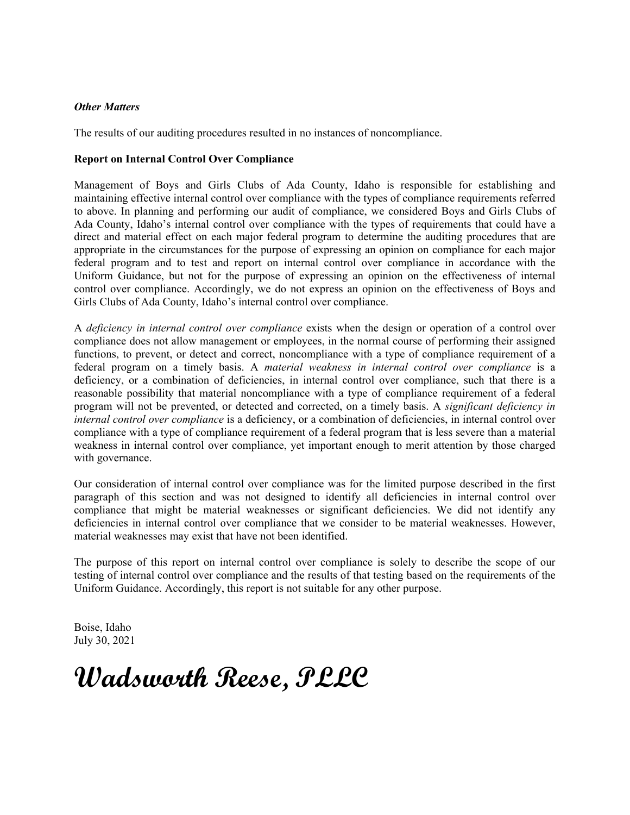## *Other Matters*

The results of our auditing procedures resulted in no instances of noncompliance.

#### **Report on Internal Control Over Compliance**

Management of Boys and Girls Clubs of Ada County, Idaho is responsible for establishing and maintaining effective internal control over compliance with the types of compliance requirements referred to above. In planning and performing our audit of compliance, we considered Boys and Girls Clubs of Ada County, Idaho's internal control over compliance with the types of requirements that could have a direct and material effect on each major federal program to determine the auditing procedures that are appropriate in the circumstances for the purpose of expressing an opinion on compliance for each major federal program and to test and report on internal control over compliance in accordance with the Uniform Guidance, but not for the purpose of expressing an opinion on the effectiveness of internal control over compliance. Accordingly, we do not express an opinion on the effectiveness of Boys and Girls Clubs of Ada County, Idaho's internal control over compliance.

A *deficiency in internal control over compliance* exists when the design or operation of a control over compliance does not allow management or employees, in the normal course of performing their assigned functions, to prevent, or detect and correct, noncompliance with a type of compliance requirement of a federal program on a timely basis. A *material weakness in internal control over compliance* is a deficiency, or a combination of deficiencies, in internal control over compliance, such that there is a reasonable possibility that material noncompliance with a type of compliance requirement of a federal program will not be prevented, or detected and corrected, on a timely basis. A *significant deficiency in internal control over compliance* is a deficiency, or a combination of deficiencies, in internal control over compliance with a type of compliance requirement of a federal program that is less severe than a material weakness in internal control over compliance, yet important enough to merit attention by those charged with governance.

Our consideration of internal control over compliance was for the limited purpose described in the first paragraph of this section and was not designed to identify all deficiencies in internal control over compliance that might be material weaknesses or significant deficiencies. We did not identify any deficiencies in internal control over compliance that we consider to be material weaknesses. However, material weaknesses may exist that have not been identified.

The purpose of this report on internal control over compliance is solely to describe the scope of our testing of internal control over compliance and the results of that testing based on the requirements of the Uniform Guidance. Accordingly, this report is not suitable for any other purpose.

Boise, Idaho July 30, 2021

**Wadsworth Reese, PLLC**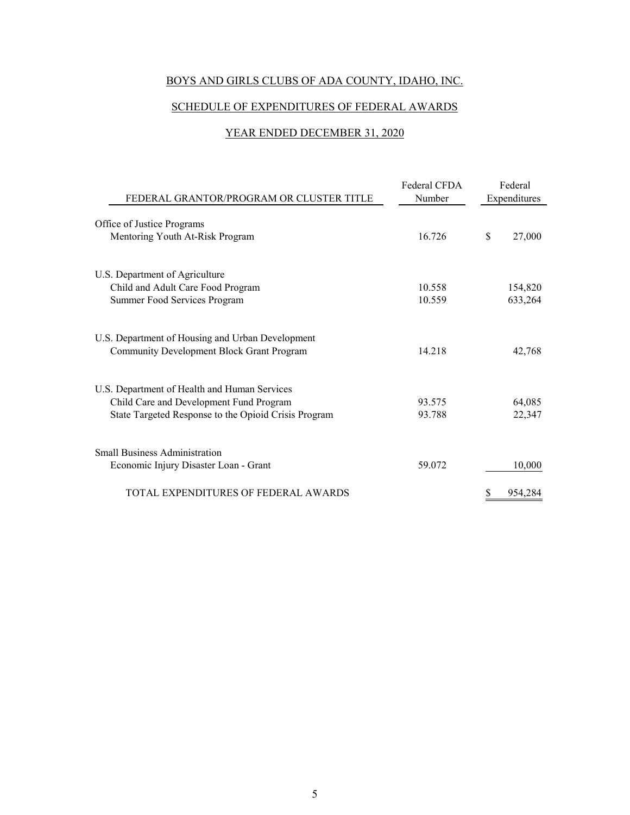## SCHEDULE OF EXPENDITURES OF FEDERAL AWARDS

# YEAR ENDED DECEMBER 31, 2020

| FEDERAL GRANTOR/PROGRAM OR CLUSTER TITLE                                                             | Federal CFDA<br>Number | Federal<br>Expenditures |         |  |
|------------------------------------------------------------------------------------------------------|------------------------|-------------------------|---------|--|
| Office of Justice Programs                                                                           |                        |                         |         |  |
| Mentoring Youth At-Risk Program                                                                      | 16.726                 | \$                      | 27,000  |  |
| U.S. Department of Agriculture                                                                       |                        |                         |         |  |
| Child and Adult Care Food Program                                                                    | 10.558                 |                         | 154,820 |  |
| Summer Food Services Program                                                                         | 10.559                 |                         | 633,264 |  |
| U.S. Department of Housing and Urban Development<br><b>Community Development Block Grant Program</b> | 14.218                 |                         | 42,768  |  |
| U.S. Department of Health and Human Services                                                         |                        |                         |         |  |
| Child Care and Development Fund Program                                                              | 93.575                 |                         | 64,085  |  |
| State Targeted Response to the Opioid Crisis Program                                                 | 93.788                 |                         | 22,347  |  |
| <b>Small Business Administration</b>                                                                 |                        |                         |         |  |
| Economic Injury Disaster Loan - Grant                                                                | 59.072                 |                         | 10,000  |  |
| TOTAL EXPENDITURES OF FEDERAL AWARDS                                                                 |                        | \$                      | 954,284 |  |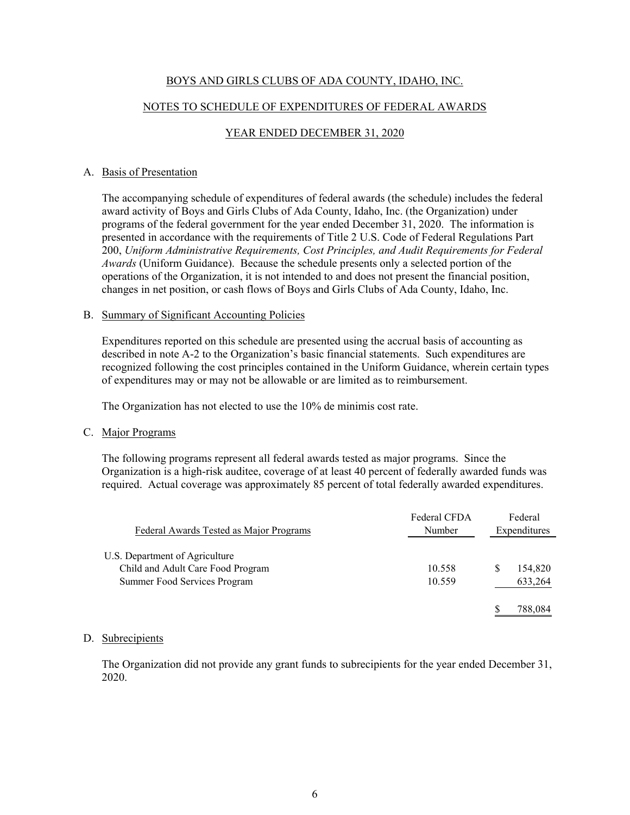#### NOTES TO SCHEDULE OF EXPENDITURES OF FEDERAL AWARDS

## YEAR ENDED DECEMBER 31, 2020

#### A. Basis of Presentation

The accompanying schedule of expenditures of federal awards (the schedule) includes the federal award activity of Boys and Girls Clubs of Ada County, Idaho, Inc. (the Organization) under programs of the federal government for the year ended December 31, 2020. The information is presented in accordance with the requirements of Title 2 U.S. Code of Federal Regulations Part 200, *Uniform Administrative Requirements, Cost Principles, and Audit Requirements for Federal Awards* (Uniform Guidance). Because the schedule presents only a selected portion of the operations of the Organization, it is not intended to and does not present the financial position, changes in net position, or cash flows of Boys and Girls Clubs of Ada County, Idaho, Inc.

#### B. Summary of Significant Accounting Policies

Expenditures reported on this schedule are presented using the accrual basis of accounting as described in note A-2 to the Organization's basic financial statements. Such expenditures are recognized following the cost principles contained in the Uniform Guidance, wherein certain types of expenditures may or may not be allowable or are limited as to reimbursement.

The Organization has not elected to use the 10% de minimis cost rate.

#### C. Major Programs

The following programs represent all federal awards tested as major programs. Since the Organization is a high-risk auditee, coverage of at least 40 percent of federally awarded funds was required. Actual coverage was approximately 85 percent of total federally awarded expenditures.

| <b>Federal Awards Tested as Major Programs</b>                                                      | <b>Federal CFDA</b><br>Number | Federal<br>Expenditures |
|-----------------------------------------------------------------------------------------------------|-------------------------------|-------------------------|
| U.S. Department of Agriculture<br>Child and Adult Care Food Program<br>Summer Food Services Program | 10.558<br>10.559              | 154,820<br>633,264      |
|                                                                                                     |                               | 788,084                 |

#### D. Subrecipients

The Organization did not provide any grant funds to subrecipients for the year ended December 31, 2020.